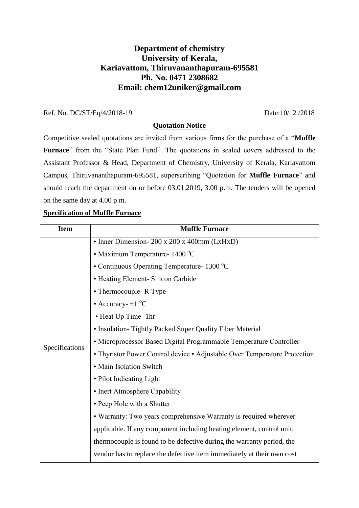# **Department of chemistry University of Kerala, Kariavattom, Thiruvananthapuram-695581 Ph. No. 0471 2308682 Email: chem12uniker@gmail.com**

### Ref. No. DC/ST/Eq/4/2018-19 Date:10/12 /2018

#### **Quotation Notice**

Competitive sealed quotations are invited from various firms for the purchase of a "**Muffle Furnace**" from the "State Plan Fund". The quotations in sealed covers addressed to the Assistant Professor & Head, Department of Chemistry, University of Kerala, Kariavattom Campus, Thiruvananthapuram-695581, superscribing "Quotation for **Muffle Furnace**" and should reach the department on or before 03.01.2019, 3.00 p.m. The tenders will be opened on the same day at 4.00 p.m.

#### **Specification of Muffle Furnace**

| <b>Item</b>    | <b>Muffle Furnace</b>                                                     |
|----------------|---------------------------------------------------------------------------|
| Specifications | • Inner Dimension- 200 x 200 x 400mm (LxHxD)                              |
|                | • Maximum Temperature- 1400 °C                                            |
|                | • Continuous Operating Temperature - $1300 \degree C$                     |
|                | • Heating Element- Silicon Carbide                                        |
|                | • Thermocouple- R Type                                                    |
|                | • Accuracy- $\pm 1$ °C                                                    |
|                | • Heat Up Time- 1hr                                                       |
|                | • Insulation-Tightly Packed Super Quality Fiber Material                  |
|                | • Microprocessor Based Digital Programmable Temperature Controller        |
|                | • Thyristor Power Control device • Adjustable Over Temperature Protection |
|                | • Main Isolation Switch                                                   |
|                | • Pilot Indicating Light                                                  |
|                | • Inert Atmosphere Capability                                             |
|                | • Peep Hole with a Shutter                                                |
|                | • Warranty: Two years comprehensive Warranty is required wherever         |
|                | applicable. If any component including heating element, control unit,     |
|                | thermocouple is found to be defective during the warranty period, the     |
|                | vendor has to replace the defective item immediately at their own cost    |